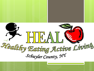

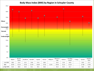#### **Body Mass Index (BMI) by Region in Schuyler County**

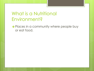### What is a Nutritional Environment?

o Places in a community where people buy or eat food.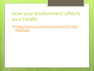#### How your environment affects your health.

o [https://www.youtube.com/watch?v=eR2](https://www.youtube.com/watch?v=eR2WhElTk6Q) [WhElTk6Q](https://www.youtube.com/watch?v=eR2WhElTk6Q)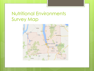## Nutritional Environments Survey Map

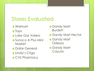# Stores Evaluated

- Walmart
- o Tops
- Lake Gas Valero
- Sunoco A Plus Mini **Market**
- **o** Dollar General
- o Linda's Citgo
- o CVS Pharmacy
- o Dandy Mart **Burdett**
- o Dandy Mart Hector
- o Dandy Mart **Odessa**
- o Dandy Mart Cayuta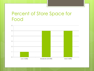#### Percent of Store Space for Food

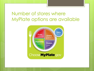#### Number of stores where MyPlate options are available

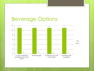## Beverage Options

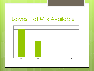## Lowest Fat Milk Available

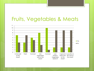## Fruits, Vegetables & Meats

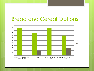## Bread and Cereal Options

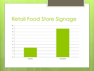# Retail Food Store Signage

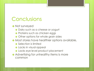## **Conclusions**

o Not surveyed

- **o** Dairy such as a cheese or yogurt
- **o** Proteins such as chicken eggs
- **o** Other options for whole grain sides
- **o** Most stores have healthier options available,
	- **o** Selection is limited
	- **o** Lacks in visual appeal
	- Lacks eye level product placement
- **o** Advertising for unhealthy items is more common